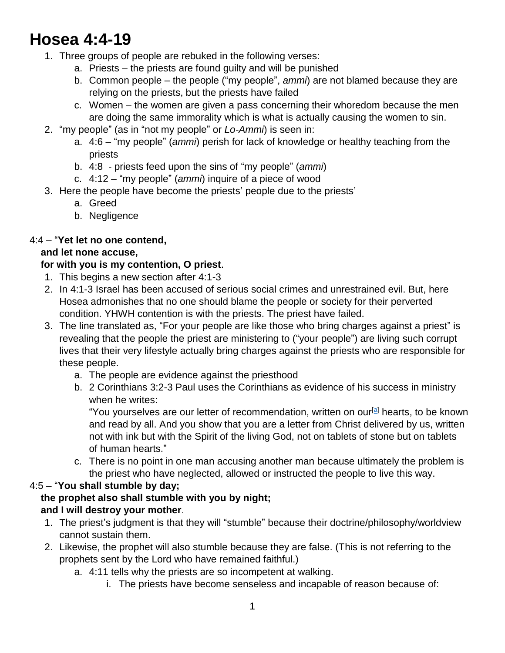# **Hosea 4:4-19**

- 1. Three groups of people are rebuked in the following verses:
	- a. Priests the priests are found guilty and will be punished
	- b. Common people the people ("my people", *ammi*) are not blamed because they are relying on the priests, but the priests have failed
	- c. Women the women are given a pass concerning their whoredom because the men are doing the same immorality which is what is actually causing the women to sin.
- 2. "my people" (as in "not my people" or *Lo-Ammi*) is seen in:
	- a. 4:6 "my people" (*ammi*) perish for lack of knowledge or healthy teaching from the priests
	- b. 4:8 priests feed upon the sins of "my people" (*ammi*)
	- c. 4:12 "my people" (*ammi*) inquire of a piece of wood
- 3. Here the people have become the priests' people due to the priests'
	- a. Greed
	- b. Negligence

#### 4:4 – "**Yet let no one contend,**

#### **and let none accuse,**

#### **for with you is my contention, O priest**.

- 1. This begins a new section after 4:1-3
- 2. In 4:1-3 Israel has been accused of serious social crimes and unrestrained evil. But, here Hosea admonishes that no one should blame the people or society for their perverted condition. YHWH contention is with the priests. The priest have failed.
- 3. The line translated as, "For your people are like those who bring charges against a priest" is revealing that the people the priest are ministering to ("your people") are living such corrupt lives that their very lifestyle actually bring charges against the priests who are responsible for these people.
	- a. The people are evidence against the priesthood
	- b. 2 Corinthians 3:2-3 Paul uses the Corinthians as evidence of his success in ministry when he writes:

"You yourselves are our letter of recommendation, written on our<sup>[\[a\]](https://www.biblegateway.com/passage/?search=2+Corinthians+3%3A2-3&version=ESV#fen-ESV-28827a)</sup> hearts, to be known and read by all. And you show that you are a letter from Christ delivered by us, written not with ink but with the Spirit of the living God, not on tablets of stone but on tablets of human hearts."

c. There is no point in one man accusing another man because ultimately the problem is the priest who have neglected, allowed or instructed the people to live this way.

#### 4:5 – "**You shall stumble by day;**

#### **the prophet also shall stumble with you by night; and I will destroy your mother**.

- 1. The priest's judgment is that they will "stumble" because their doctrine/philosophy/worldview cannot sustain them.
- 2. Likewise, the prophet will also stumble because they are false. (This is not referring to the prophets sent by the Lord who have remained faithful.)
	- a. 4:11 tells why the priests are so incompetent at walking.
		- i. The priests have become senseless and incapable of reason because of: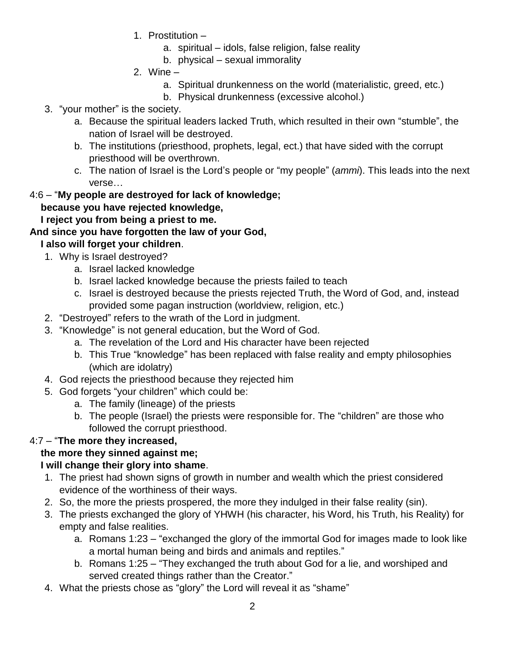- 1. Prostitution
	- a. spiritual idols, false religion, false reality
	- b. physical sexual immorality
- 2. Wine
	- a. Spiritual drunkenness on the world (materialistic, greed, etc.)
	- b. Physical drunkenness (excessive alcohol.)
- 3. "your mother" is the society.
	- a. Because the spiritual leaders lacked Truth, which resulted in their own "stumble", the nation of Israel will be destroyed.
	- b. The institutions (priesthood, prophets, legal, ect.) that have sided with the corrupt priesthood will be overthrown.
	- c. The nation of Israel is the Lord's people or "my people" (*ammi*). This leads into the next verse…

#### 4:6 – "**My people are destroyed for lack of knowledge;**

#### **because you have rejected knowledge,**

 **I reject you from being a priest to me.**

#### **And since you have forgotten the law of your God,**

#### **I also will forget your children**.

- 1. Why is Israel destroyed?
	- a. Israel lacked knowledge
	- b. Israel lacked knowledge because the priests failed to teach
	- c. Israel is destroyed because the priests rejected Truth, the Word of God, and, instead provided some pagan instruction (worldview, religion, etc.)
- 2. "Destroyed" refers to the wrath of the Lord in judgment.
- 3. "Knowledge" is not general education, but the Word of God.
	- a. The revelation of the Lord and His character have been rejected
	- b. This True "knowledge" has been replaced with false reality and empty philosophies (which are idolatry)
- 4. God rejects the priesthood because they rejected him
- 5. God forgets "your children" which could be:
	- a. The family (lineage) of the priests
	- b. The people (Israel) the priests were responsible for. The "children" are those who followed the corrupt priesthood.

#### 4:7 – "**The more they increased,**

#### **the more they sinned against me;**

#### **I will change their glory into shame**.

- 1. The priest had shown signs of growth in number and wealth which the priest considered evidence of the worthiness of their ways.
- 2. So, the more the priests prospered, the more they indulged in their false reality (sin).
- 3. The priests exchanged the glory of YHWH (his character, his Word, his Truth, his Reality) for empty and false realities.
	- a. Romans 1:23 "exchanged the glory of the immortal God for images made to look like a mortal human being and birds and animals and reptiles."
	- b. Romans 1:25 "They exchanged the truth about God for a lie, and worshiped and served created things rather than the Creator."
- 4. What the priests chose as "glory" the Lord will reveal it as "shame"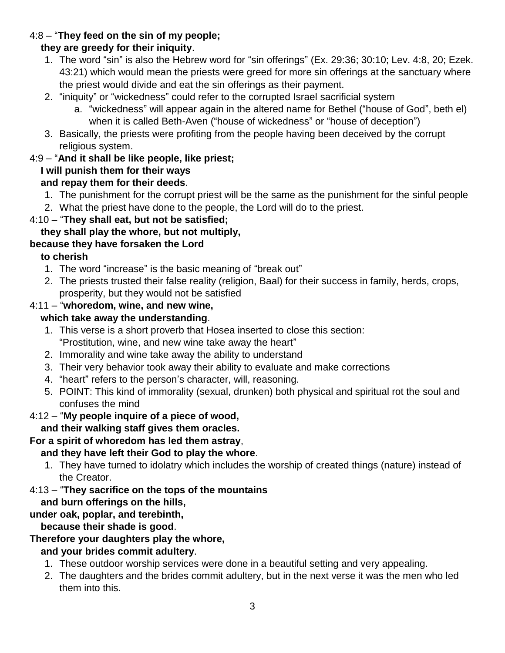#### 4:8 – "**They feed on the sin of my people;**

#### **they are greedy for their iniquity**.

- 1. The word "sin" is also the Hebrew word for "sin offerings" (Ex. 29:36; 30:10; Lev. 4:8, 20; Ezek. 43:21) which would mean the priests were greed for more sin offerings at the sanctuary where the priest would divide and eat the sin offerings as their payment.
- 2. "iniquity" or "wickedness" could refer to the corrupted Israel sacrificial system
	- a. "wickedness" will appear again in the altered name for Bethel ("house of God", beth el) when it is called Beth-Aven ("house of wickedness" or "house of deception")
- 3. Basically, the priests were profiting from the people having been deceived by the corrupt religious system.

#### 4:9 – "**And it shall be like people, like priest;**

## **I will punish them for their ways**

#### **and repay them for their deeds**.

- 1. The punishment for the corrupt priest will be the same as the punishment for the sinful people
- 2. What the priest have done to the people, the Lord will do to the priest.

#### 4:10 – "**They shall eat, but not be satisfied;**

#### **they shall play the whore, but not multiply,**

#### **because they have forsaken the Lord**

#### **to cherish**

- 1. The word "increase" is the basic meaning of "break out"
- 2. The priests trusted their false reality (religion, Baal) for their success in family, herds, crops, prosperity, but they would not be satisfied

#### 4:11 – "**whoredom, wine, and new wine,**

#### **which take away the understanding**.

- 1. This verse is a short proverb that Hosea inserted to close this section: "Prostitution, wine, and new wine take away the heart"
- 2. Immorality and wine take away the ability to understand
- 3. Their very behavior took away their ability to evaluate and make corrections
- 4. "heart" refers to the person's character, will, reasoning.
- 5. POINT: This kind of immorality (sexual, drunken) both physical and spiritual rot the soul and confuses the mind

#### 4:12 – "**My people inquire of a piece of wood,**

#### **and their walking staff gives them oracles.**

#### **For a spirit of whoredom has led them astray**,

#### **and they have left their God to play the whore**.

1. They have turned to idolatry which includes the worship of created things (nature) instead of the Creator.

#### 4:13 – "**They sacrifice on the tops of the mountains**

#### **and burn offerings on the hills,**

#### **under oak, poplar, and terebinth,**

#### **because their shade is good**.

#### **Therefore your daughters play the whore,**

#### **and your brides commit adultery**.

- 1. These outdoor worship services were done in a beautiful setting and very appealing.
- 2. The daughters and the brides commit adultery, but in the next verse it was the men who led them into this.